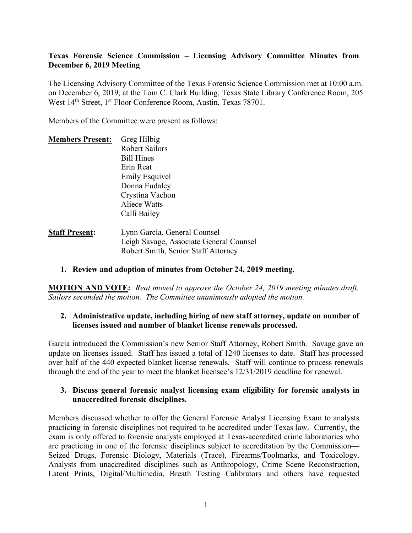# **Texas Forensic Science Commission – Licensing Advisory Committee Minutes from December 6, 2019 Meeting**

The Licensing Advisory Committee of the Texas Forensic Science Commission met at 10:00 a.m. on December 6, 2019, at the Tom C. Clark Building, Texas State Library Conference Room, 205 West 14<sup>th</sup> Street, 1<sup>st</sup> Floor Conference Room, Austin, Texas 78701.

Members of the Committee were present as follows:

| <b>Members Present:</b> | Greg Hilbig                                              |
|-------------------------|----------------------------------------------------------|
|                         | <b>Robert Sailors</b>                                    |
|                         | <b>Bill Hines</b>                                        |
|                         | Erin Reat                                                |
|                         |                                                          |
|                         | Donna Eudaley                                            |
|                         |                                                          |
|                         | <b>Aliece Watts</b>                                      |
|                         |                                                          |
|                         |                                                          |
|                         | <b>Emily Esquivel</b><br>Crystina Vachon<br>Calli Bailey |

| <b>Staff Present:</b> | Lynn Garcia, General Counsel            |
|-----------------------|-----------------------------------------|
|                       | Leigh Savage, Associate General Counsel |
|                       | Robert Smith, Senior Staff Attorney     |

# **1. Review and adoption of minutes from October 24, 2019 meeting.**

**MOTION AND VOTE:** *Reat moved to approve the October 24, 2019 meeting minutes draft. Sailors seconded the motion. The Committee unanimously adopted the motion.*

### **2. Administrative update, including hiring of new staff attorney, update on number of licenses issued and number of blanket license renewals processed.**

Garcia introduced the Commission's new Senior Staff Attorney, Robert Smith. Savage gave an update on licenses issued. Staff has issued a total of 1240 licenses to date. Staff has processed over half of the 440 expected blanket license renewals. Staff will continue to process renewals through the end of the year to meet the blanket licensee's 12/31/2019 deadline for renewal.

### **3. Discuss general forensic analyst licensing exam eligibility for forensic analysts in unaccredited forensic disciplines.**

Members discussed whether to offer the General Forensic Analyst Licensing Exam to analysts practicing in forensic disciplines not required to be accredited under Texas law. Currently, the exam is only offered to forensic analysts employed at Texas-accredited crime laboratories who are practicing in one of the forensic disciplines subject to accreditation by the Commission— Seized Drugs, Forensic Biology, Materials (Trace), Firearms/Toolmarks, and Toxicology. Analysts from unaccredited disciplines such as Anthropology, Crime Scene Reconstruction, Latent Prints, Digital/Multimedia, Breath Testing Calibrators and others have requested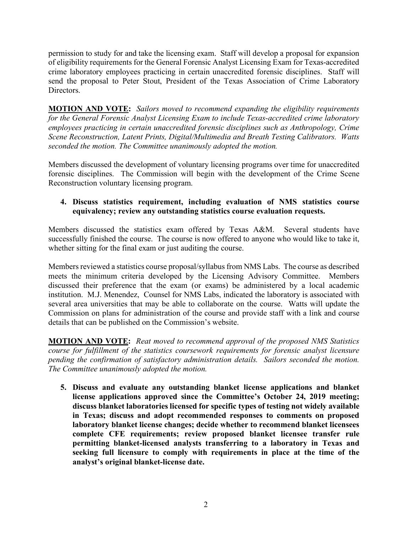permission to study for and take the licensing exam. Staff will develop a proposal for expansion of eligibility requirements for the General Forensic Analyst Licensing Exam for Texas-accredited crime laboratory employees practicing in certain unaccredited forensic disciplines. Staff will send the proposal to Peter Stout, President of the Texas Association of Crime Laboratory **Directors** 

**MOTION AND VOTE:** *Sailors moved to recommend expanding the eligibility requirements for the General Forensic Analyst Licensing Exam to include Texas-accredited crime laboratory employees practicing in certain unaccredited forensic disciplines such as Anthropology, Crime Scene Reconstruction, Latent Prints, Digital/Multimedia and Breath Testing Calibrators. Watts seconded the motion. The Committee unanimously adopted the motion.* 

Members discussed the development of voluntary licensing programs over time for unaccredited forensic disciplines. The Commission will begin with the development of the Crime Scene Reconstruction voluntary licensing program.

# **4. Discuss statistics requirement, including evaluation of NMS statistics course equivalency; review any outstanding statistics course evaluation requests.**

Members discussed the statistics exam offered by Texas A&M. Several students have successfully finished the course. The course is now offered to anyone who would like to take it, whether sitting for the final exam or just auditing the course.

Members reviewed a statistics course proposal/syllabus from NMS Labs. The course as described meets the minimum criteria developed by the Licensing Advisory Committee. Members discussed their preference that the exam (or exams) be administered by a local academic institution. M.J. Menendez, Counsel for NMS Labs, indicated the laboratory is associated with several area universities that may be able to collaborate on the course. Watts will update the Commission on plans for administration of the course and provide staff with a link and course details that can be published on the Commission's website.

**MOTION AND VOTE:** *Reat moved to recommend approval of the proposed NMS Statistics course for fulfillment of the statistics coursework requirements for forensic analyst licensure pending the confirmation of satisfactory administration details. Sailors seconded the motion. The Committee unanimously adopted the motion.*

**5. Discuss and evaluate any outstanding blanket license applications and blanket license applications approved since the Committee's October 24, 2019 meeting; discuss blanket laboratories licensed for specific types of testing not widely available in Texas; discuss and adopt recommended responses to comments on proposed laboratory blanket license changes; decide whether to recommend blanket licensees complete CFE requirements; review proposed blanket licensee transfer rule permitting blanket-licensed analysts transferring to a laboratory in Texas and seeking full licensure to comply with requirements in place at the time of the analyst's original blanket-license date.**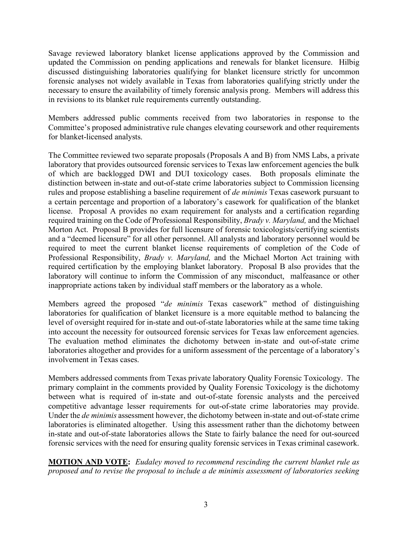Savage reviewed laboratory blanket license applications approved by the Commission and updated the Commission on pending applications and renewals for blanket licensure. Hilbig discussed distinguishing laboratories qualifying for blanket licensure strictly for uncommon forensic analyses not widely available in Texas from laboratories qualifying strictly under the necessary to ensure the availability of timely forensic analysis prong. Members will address this in revisions to its blanket rule requirements currently outstanding.

Members addressed public comments received from two laboratories in response to the Committee's proposed administrative rule changes elevating coursework and other requirements for blanket-licensed analysts.

The Committee reviewed two separate proposals (Proposals A and B) from NMS Labs, a private laboratory that provides outsourced forensic services to Texas law enforcement agencies the bulk of which are backlogged DWI and DUI toxicology cases. Both proposals eliminate the distinction between in-state and out-of-state crime laboratories subject to Commission licensing rules and propose establishing a baseline requirement of *de minimis* Texas casework pursuant to a certain percentage and proportion of a laboratory's casework for qualification of the blanket license. Proposal A provides no exam requirement for analysts and a certification regarding required training on the Code of Professional Responsibility, *Brady v. Maryland,* and the Michael Morton Act. Proposal B provides for full licensure of forensic toxicologists/certifying scientists and a "deemed licensure" for all other personnel. All analysts and laboratory personnel would be required to meet the current blanket license requirements of completion of the Code of Professional Responsibility, *Brady v. Maryland,* and the Michael Morton Act training with required certification by the employing blanket laboratory. Proposal B also provides that the laboratory will continue to inform the Commission of any misconduct, malfeasance or other inappropriate actions taken by individual staff members or the laboratory as a whole.

Members agreed the proposed "*de minimis* Texas casework" method of distinguishing laboratories for qualification of blanket licensure is a more equitable method to balancing the level of oversight required for in-state and out-of-state laboratories while at the same time taking into account the necessity for outsourced forensic services for Texas law enforcement agencies. The evaluation method eliminates the dichotomy between in-state and out-of-state crime laboratories altogether and provides for a uniform assessment of the percentage of a laboratory's involvement in Texas cases.

Members addressed comments from Texas private laboratory Quality Forensic Toxicology. The primary complaint in the comments provided by Quality Forensic Toxicology is the dichotomy between what is required of in-state and out-of-state forensic analysts and the perceived competitive advantage lesser requirements for out-of-state crime laboratories may provide. Under the *de minimis* assessment however, the dichotomy between in-state and out-of-state crime laboratories is eliminated altogether. Using this assessment rather than the dichotomy between in-state and out-of-state laboratories allows the State to fairly balance the need for out-sourced forensic services with the need for ensuring quality forensic services in Texas criminal casework.

**MOTION AND VOTE:** *Eudaley moved to recommend rescinding the current blanket rule as proposed and to revise the proposal to include a de minimis assessment of laboratories seeking*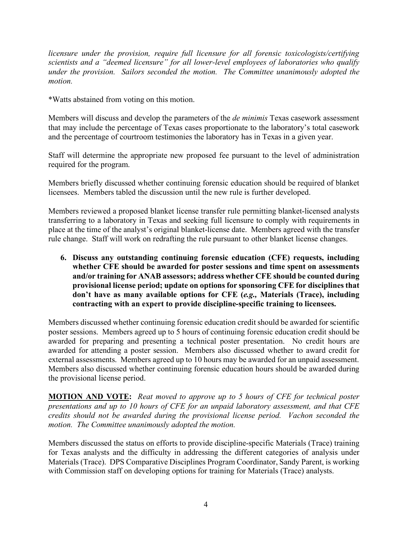*licensure under the provision, require full licensure for all forensic toxicologists/certifying scientists and a "deemed licensure" for all lower-level employees of laboratories who qualify under the provision. Sailors seconded the motion. The Committee unanimously adopted the motion.*

\*Watts abstained from voting on this motion.

Members will discuss and develop the parameters of the *de minimis* Texas casework assessment that may include the percentage of Texas cases proportionate to the laboratory's total casework and the percentage of courtroom testimonies the laboratory has in Texas in a given year.

Staff will determine the appropriate new proposed fee pursuant to the level of administration required for the program.

Members briefly discussed whether continuing forensic education should be required of blanket licensees. Members tabled the discussion until the new rule is further developed.

Members reviewed a proposed blanket license transfer rule permitting blanket-licensed analysts transferring to a laboratory in Texas and seeking full licensure to comply with requirements in place at the time of the analyst's original blanket-license date. Members agreed with the transfer rule change. Staff will work on redrafting the rule pursuant to other blanket license changes.

**6. Discuss any outstanding continuing forensic education (CFE) requests, including whether CFE should be awarded for poster sessions and time spent on assessments and/or training for ANAB assessors; address whether CFE should be counted during provisional license period; update on options for sponsoring CFE for disciplines that don't have as many available options for CFE (***e.g.,* **Materials (Trace), including contracting with an expert to provide discipline-specific training to licensees.**

Members discussed whether continuing forensic education credit should be awarded for scientific poster sessions. Members agreed up to 5 hours of continuing forensic education credit should be awarded for preparing and presenting a technical poster presentation. No credit hours are awarded for attending a poster session. Members also discussed whether to award credit for external assessments. Members agreed up to 10 hours may be awarded for an unpaid assessment. Members also discussed whether continuing forensic education hours should be awarded during the provisional license period.

**MOTION AND VOTE:** *Reat moved to approve up to 5 hours of CFE for technical poster presentations and up to 10 hours of CFE for an unpaid laboratory assessment, and that CFE credits should not be awarded during the provisional license period. Vachon seconded the motion. The Committee unanimously adopted the motion.*

Members discussed the status on efforts to provide discipline-specific Materials (Trace) training for Texas analysts and the difficulty in addressing the different categories of analysis under Materials (Trace). DPS Comparative Disciplines Program Coordinator, Sandy Parent, is working with Commission staff on developing options for training for Materials (Trace) analysts.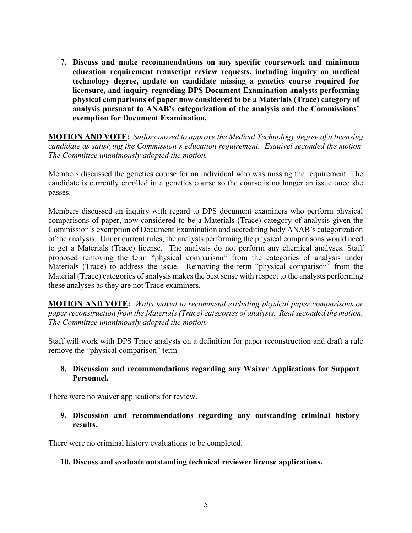**7. Discuss and make recommendations on any specific coursework and minimum education requirement transcript review requests, including inquiry on medical technology degree, update on candidate missing a genetics course required for licensure, and inquiry regarding DPS Document Examination analysts performing physical comparisons of paper now considered to be a Materials (Trace) category of analysis pursuant to ANAB's categorization of the analysis and the Commissions' exemption for Document Examination.** 

**MOTION AND VOTE:** *Sailors moved to approve the Medical Technology degree of a licensing candidate as satisfying the Commission's education requirement. Esquivel seconded the motion. The Committee unanimously adopted the motion.*

Members discussed the genetics course for an individual who was missing the requirement. The candidate is currently enrolled in a genetics course so the course is no longer an issue once she passes.

Members discussed an inquiry with regard to DPS document examiners who perform physical comparisons of paper, now considered to be a Materials (Trace) category of analysis given the Commission's exemption of Document Examination and accrediting body ANAB's categorization of the analysis. Under current rules, the analysts performing the physical comparisons would need to get a Materials (Trace) license. The analysts do not perform any chemical analyses. Staff proposed removing the term "physical comparison" from the categories of analysis under Materials (Trace) to address the issue. Removing the term "physical comparison" from the Material (Trace) categories of analysis makes the best sense with respect to the analysts performing these analyses as they are not Trace examiners.

**MOTION AND VOTE:** *Watts moved to recommend excluding physical paper comparisons or paper reconstruction from the Materials (Trace) categories of analysis. Reat seconded the motion. The Committee unanimously adopted the motion.*

Staff will work with DPS Trace analysts on a definition for paper reconstruction and draft a rule remove the "physical comparison" term.

### **8. Discussion and recommendations regarding any Waiver Applications for Support Personnel.**

There were no waiver applications for review.

# **9. Discussion and recommendations regarding any outstanding criminal history results.**

There were no criminal history evaluations to be completed.

# **10. Discuss and evaluate outstanding technical reviewer license applications.**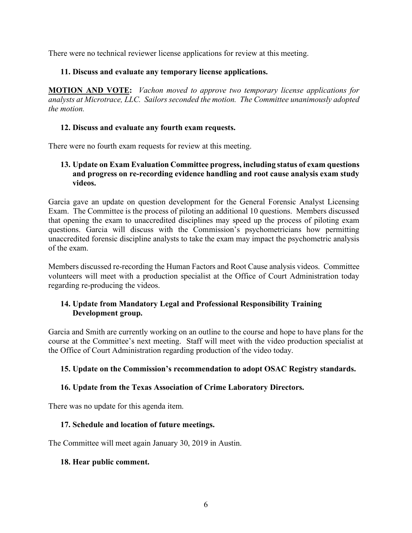There were no technical reviewer license applications for review at this meeting.

# **11. Discuss and evaluate any temporary license applications.**

**MOTION AND VOTE:** *Vachon moved to approve two temporary license applications for analysts at Microtrace, LLC. Sailors seconded the motion. The Committee unanimously adopted the motion.*

# **12. Discuss and evaluate any fourth exam requests.**

There were no fourth exam requests for review at this meeting.

# **13. Update on Exam Evaluation Committee progress, including status of exam questions and progress on re-recording evidence handling and root cause analysis exam study videos.**

Garcia gave an update on question development for the General Forensic Analyst Licensing Exam. The Committee is the process of piloting an additional 10 questions. Members discussed that opening the exam to unaccredited disciplines may speed up the process of piloting exam questions. Garcia will discuss with the Commission's psychometricians how permitting unaccredited forensic discipline analysts to take the exam may impact the psychometric analysis of the exam.

Members discussed re-recording the Human Factors and Root Cause analysis videos. Committee volunteers will meet with a production specialist at the Office of Court Administration today regarding re-producing the videos.

# **14. Update from Mandatory Legal and Professional Responsibility Training Development group.**

Garcia and Smith are currently working on an outline to the course and hope to have plans for the course at the Committee's next meeting. Staff will meet with the video production specialist at the Office of Court Administration regarding production of the video today.

# **15. Update on the Commission's recommendation to adopt OSAC Registry standards.**

# **16. Update from the Texas Association of Crime Laboratory Directors.**

There was no update for this agenda item.

# **17. Schedule and location of future meetings.**

The Committee will meet again January 30, 2019 in Austin.

# **18. Hear public comment.**